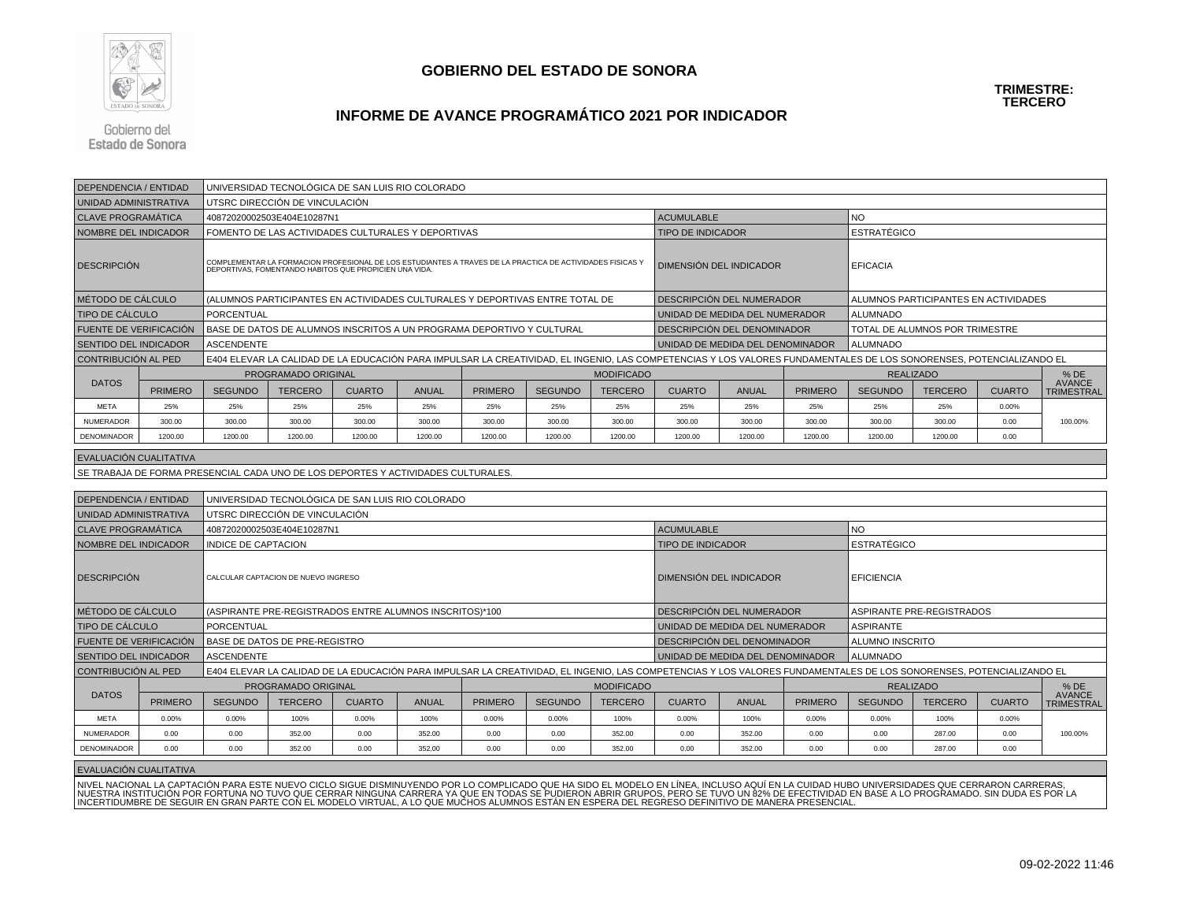

### **INFORME DE AVANCE PROGRAMÁTICO 2021 POR INDICADOR**

Gobierno del Estado de Sonora

| DEPENDENCIA / ENTIDAD                                     |                |                                                                                   | UNIVERSIDAD TECNOLÓGICA DE SAN LUIS RIO COLORADO                                                                                                                    |               |              |                |                |                                |                                  |                                                               |                   |                                                                                                                                                                     |                                |               |                                    |  |
|-----------------------------------------------------------|----------------|-----------------------------------------------------------------------------------|---------------------------------------------------------------------------------------------------------------------------------------------------------------------|---------------|--------------|----------------|----------------|--------------------------------|----------------------------------|---------------------------------------------------------------|-------------------|---------------------------------------------------------------------------------------------------------------------------------------------------------------------|--------------------------------|---------------|------------------------------------|--|
| UNIDAD ADMINISTRATIVA                                     |                |                                                                                   | UTSRC DIRECCIÓN DE VINCULACIÓN                                                                                                                                      |               |              |                |                |                                |                                  |                                                               |                   |                                                                                                                                                                     |                                |               |                                    |  |
| <b>CLAVE PROGRAMÁTICA</b>                                 |                |                                                                                   | 40872020002503E404E10287N1                                                                                                                                          |               |              |                |                |                                | <b>ACUMULABLE</b>                |                                                               |                   | <b>NO</b>                                                                                                                                                           |                                |               |                                    |  |
| <b>NOMBRE DEL INDICADOR</b>                               |                |                                                                                   | FOMENTO DE LAS ACTIVIDADES CULTURALES Y DEPORTIVAS                                                                                                                  |               |              |                |                |                                | <b>TIPO DE INDICADOR</b>         |                                                               |                   | <b>ESTRATÉGICO</b>                                                                                                                                                  |                                |               |                                    |  |
| <b>DESCRIPCIÓN</b>                                        |                |                                                                                   | COMPLEMENTAR LA FORMACION PROFESIONAL DE LOS ESTUDIANTES A TRAVES DE LA PRACTICA DE ACTIVIDADES FISICAS Y<br>DEPORTIVAS, FOMENTANDO HABITOS QUE PROPICIEN UNA VIDA. |               |              |                |                |                                | <b>DIMENSIÓN DEL INDICADOR</b>   |                                                               |                   | <b>EFICACIA</b>                                                                                                                                                     |                                |               |                                    |  |
| I MÉTODO DE CÁLCULO                                       |                |                                                                                   | (ALUMNOS PARTICIPANTES EN ACTIVIDADES CULTURALES Y DEPORTIVAS ENTRE TOTAL DE                                                                                        |               |              |                |                |                                | DESCRIPCIÓN DEL NUMERADOR        |                                                               |                   | ALUMNOS PARTICIPANTES EN ACTIVIDADES                                                                                                                                |                                |               |                                    |  |
| <b>TIPO DE CÁLCULO</b>                                    |                | PORCENTUAL                                                                        |                                                                                                                                                                     |               |              |                |                |                                | UNIDAD DE MEDIDA DEL NUMERADOR   |                                                               |                   | <b>ALUMNADO</b>                                                                                                                                                     |                                |               |                                    |  |
| <b>FUENTE DE VERIFICACIÓN</b>                             |                |                                                                                   | BASE DE DATOS DE ALUMNOS INSCRITOS A UN PROGRAMA DEPORTIVO Y CULTURAL                                                                                               |               |              |                |                |                                | DESCRIPCIÓN DEL DENOMINADOR      |                                                               |                   |                                                                                                                                                                     | TOTAL DE ALUMNOS POR TRIMESTRE |               |                                    |  |
| <b>SENTIDO DEL INDICADOR</b>                              |                | <b>ASCENDENTE</b>                                                                 |                                                                                                                                                                     |               |              |                |                |                                | UNIDAD DE MEDIDA DEL DENOMINADOR |                                                               |                   | <b>ALUMNADO</b>                                                                                                                                                     |                                |               |                                    |  |
| I CONTRIBUCIÓN AL PED                                     |                |                                                                                   |                                                                                                                                                                     |               |              |                |                |                                |                                  |                                                               |                   | E404 ELEVAR LA CALIDAD DE LA EDUCACIÓN PARA IMPULSAR LA CREATIVIDAD, EL INGENIO, LAS COMPETENCIAS Y LOS VALORES FUNDAMENTALES DE LOS SONORENSES, POTENCIALIZANDO EL |                                |               |                                    |  |
|                                                           |                | PROGRAMADO ORIGINAL                                                               |                                                                                                                                                                     |               |              |                |                | <b>MODIFICADO</b>              |                                  |                                                               |                   |                                                                                                                                                                     | <b>REALIZADO</b>               |               | $%$ DE                             |  |
| <b>DATOS</b>                                              | <b>PRIMERO</b> | <b>SEGUNDO</b>                                                                    | <b>TERCERO</b>                                                                                                                                                      | <b>CUARTO</b> | <b>ANUAL</b> | <b>PRIMERO</b> | <b>SEGUNDO</b> | <b>TERCERO</b>                 | <b>CUARTO</b>                    | <b>ANUAL</b>                                                  | <b>PRIMERO</b>    | <b>SEGUNDO</b>                                                                                                                                                      | <b>TERCERO</b>                 | <b>CUARTO</b> | <b>AVANCE</b><br><b>TRIMESTRAL</b> |  |
| <b>META</b>                                               | 25%            | 25%                                                                               | 25%                                                                                                                                                                 | 25%           | 25%          | 25%            | 25%            | 25%                            | 25%                              | 25%                                                           | 25%               | 25%                                                                                                                                                                 | 25%                            | 0.00%         |                                    |  |
| <b>NUMERADOR</b>                                          | 300.00         | 300.00                                                                            | 300.00                                                                                                                                                              | 300.00        | 300.00       | 300.00         | 300.00         | 300.00                         | 300.00                           | 300.00                                                        | 300.00            | 300.00                                                                                                                                                              | 300.00                         | 0.00          | 100.00%                            |  |
| <b>DENOMINADOR</b>                                        | 1200.00        | 1200.00                                                                           | 1200.00                                                                                                                                                             | 1200.00       | 1200.00      | 1200.00        | 1200.00        | 1200.00                        | 1200.00                          | 1200.00                                                       | 1200.00           | 1200.00                                                                                                                                                             | 1200.00                        | 0.00          |                                    |  |
| EVALUACIÓN CUALITATIVA                                    |                |                                                                                   |                                                                                                                                                                     |               |              |                |                |                                |                                  |                                                               |                   |                                                                                                                                                                     |                                |               |                                    |  |
|                                                           |                | SE TRABAJA DE FORMA PRESENCIAL CADA UNO DE LOS DEPORTES Y ACTIVIDADES CULTURALES. |                                                                                                                                                                     |               |              |                |                |                                |                                  |                                                               |                   |                                                                                                                                                                     |                                |               |                                    |  |
|                                                           |                |                                                                                   |                                                                                                                                                                     |               |              |                |                |                                |                                  |                                                               |                   |                                                                                                                                                                     |                                |               |                                    |  |
| DEPENDENCIA / ENTIDAD                                     |                |                                                                                   | UNIVERSIDAD TECNOLÓGICA DE SAN LUIS RIO COLORADO                                                                                                                    |               |              |                |                |                                |                                  |                                                               |                   |                                                                                                                                                                     |                                |               |                                    |  |
| UNIDAD ADMINISTRATIVA                                     |                |                                                                                   | UTSRC DIRECCIÓN DE VINCULACIÓN                                                                                                                                      |               |              |                |                |                                |                                  |                                                               |                   |                                                                                                                                                                     |                                |               |                                    |  |
| <b>CLAVE PROGRAMÁTICA</b>                                 |                |                                                                                   | 40872020002503E404E10287N1                                                                                                                                          |               |              |                |                |                                | <b>ACUMULABLE</b>                |                                                               |                   | <b>NO</b>                                                                                                                                                           |                                |               |                                    |  |
| <b>NOMBRE DEL INDICADOR</b>                               |                | <b>INDICE DE CAPTACION</b>                                                        |                                                                                                                                                                     |               |              |                |                |                                | <b>TIPO DE INDICADOR</b>         |                                                               |                   | <b>ESTRATÉGICO</b>                                                                                                                                                  |                                |               |                                    |  |
| <b>DESCRIPCIÓN</b><br>CALCULAR CAPTACION DE NUEVO INGRESO |                |                                                                                   |                                                                                                                                                                     |               |              |                |                | <b>DIMENSIÓN DEL INDICADOR</b> |                                  |                                                               | <b>EFICIENCIA</b> |                                                                                                                                                                     |                                |               |                                    |  |
| MÉTODO DE CÁLCULO                                         |                |                                                                                   | (ASPIRANTE PRE-REGISTRADOS ENTRE ALUMNOS INSCRITOS)*100                                                                                                             |               |              |                |                |                                |                                  | <b>DESCRIPCIÓN DEL NUMERADOR</b><br>ASPIRANTE PRE-REGISTRADOS |                   |                                                                                                                                                                     |                                |               |                                    |  |

| <b>DEPENDENCIA / ENTIDAD</b>  |                                                    | UNIVERSIDAD TECNOLÓGICA DE SAN LUIS RIO COLORADO |                                                         |               |              |                |                |                   |                                                                                                                                                                     |                                                     |                |                           |                |               |                                    |
|-------------------------------|----------------------------------------------------|--------------------------------------------------|---------------------------------------------------------|---------------|--------------|----------------|----------------|-------------------|---------------------------------------------------------------------------------------------------------------------------------------------------------------------|-----------------------------------------------------|----------------|---------------------------|----------------|---------------|------------------------------------|
| UNIDAD ADMINISTRATIVA         |                                                    |                                                  | UTSRC DIRECCIÓN DE VINCULACIÓN                          |               |              |                |                |                   |                                                                                                                                                                     |                                                     |                |                           |                |               |                                    |
| <b>CLAVE PROGRAMÁTICA</b>     |                                                    |                                                  | 40872020002503E404E10287N1                              |               |              |                |                |                   | <b>ACUMULABLE</b>                                                                                                                                                   |                                                     |                | NO                        |                |               |                                    |
|                               | NOMBRE DEL INDICADOR<br><b>INDICE DE CAPTACION</b> |                                                  |                                                         |               |              |                |                |                   | <b>TIPO DE INDICADOR</b>                                                                                                                                            |                                                     |                | <b>ESTRATÉGICO</b>        |                |               |                                    |
| <b>DESCRIPCIÓN</b>            | CALCULAR CAPTACION DE NUEVO INGRESO                |                                                  |                                                         |               |              |                |                |                   |                                                                                                                                                                     | <b>DIMENSIÓN DEL INDICADOR</b><br><b>EFICIENCIA</b> |                |                           |                |               |                                    |
| MÉTODO DE CÁLCULO             |                                                    |                                                  | (ASPIRANTE PRE-REGISTRADOS ENTRE ALUMNOS INSCRITOS)*100 |               |              |                |                |                   | <b>DESCRIPCIÓN DEL NUMERADOR</b>                                                                                                                                    |                                                     |                | ASPIRANTE PRE-REGISTRADOS |                |               |                                    |
| <b>TIPO DE CÁLCULO</b>        |                                                    | <b>PORCENTUAL</b>                                |                                                         |               |              |                |                |                   |                                                                                                                                                                     | UNIDAD DE MEDIDA DEL NUMERADOR                      |                | <b>ASPIRANTE</b>          |                |               |                                    |
| <b>FUENTE DE VERIFICACIÓN</b> |                                                    |                                                  | BASE DE DATOS DE PRE-REGISTRO                           |               |              |                |                |                   | DESCRIPCIÓN DEL DENOMINADOR                                                                                                                                         |                                                     |                | <b>ALUMNO INSCRITO</b>    |                |               |                                    |
| <b>SENTIDO DEL INDICADOR</b>  |                                                    | <b>ASCENDENTE</b>                                |                                                         |               |              |                |                |                   | UNIDAD DE MEDIDA DEL DENOMINADOR                                                                                                                                    |                                                     |                | <b>ALUMNADO</b>           |                |               |                                    |
| CONTRIBUCIÓN AL PED           |                                                    |                                                  |                                                         |               |              |                |                |                   | E404 ELEVAR LA CALIDAD DE LA EDUCACIÓN PARA IMPULSAR LA CREATIVIDAD, EL INGENIO, LAS COMPETENCIAS Y LOS VALORES FUNDAMENTALES DE LOS SONORENSES, POTENCIALIZANDO EL |                                                     |                |                           |                |               |                                    |
|                               |                                                    |                                                  | PROGRAMADO ORIGINAL                                     |               |              |                |                | <b>MODIFICADO</b> |                                                                                                                                                                     |                                                     |                | <b>REALIZADO</b>          |                |               | $%$ DE                             |
| <b>DATOS</b>                  | <b>PRIMERO</b>                                     | <b>SEGUNDO</b>                                   | <b>TERCERO</b>                                          | <b>CUARTO</b> | <b>ANUAL</b> | <b>PRIMERO</b> | <b>SEGUNDO</b> | <b>TERCERO</b>    | <b>CUARTO</b>                                                                                                                                                       | <b>ANUAL</b>                                        | <b>PRIMERO</b> | <b>SEGUNDO</b>            | <b>TERCERO</b> | <b>CUARTO</b> | <b>AVANCE</b><br><b>TRIMESTRAL</b> |
| <b>META</b>                   | 0.00%                                              | 0.00%                                            | 100%                                                    | 0.00%         | 100%         | 0.00%          | 0.00%          | 100%              | 0.00%                                                                                                                                                               | 100%                                                | 0.00%          | 0.00%                     | 100%           | 0.00%         |                                    |
| <b>NUMERADOR</b>              | 0.00                                               | 0.00                                             | 352.00                                                  | 0.00          | 352.00       | 0.00           | 0.00           | 352.00            | 0.00                                                                                                                                                                | 352.00                                              | 0.00           | 0.00                      | 287.00         | 0.00          | 100.00%                            |
| DENOMINADOR                   | 0.00                                               | 0.00                                             | 352.00                                                  | 0.00          | 352.00       | 0.00           | 0.00           | 352.00            | 0.00                                                                                                                                                                | 352.00                                              | 0.00           | 0.00<br>287.00<br>0.00    |                |               |                                    |
|                               |                                                    |                                                  |                                                         |               |              |                |                |                   |                                                                                                                                                                     |                                                     |                |                           |                |               |                                    |

#### EVALUACIÓN CUALITATIVA

NIVEL NACIONAL LA CAPTACIÓN PARA ESTE NUEVO CICLO SIGUE DISMINUYENDO POR LO COMPLICADO QUE HA SIDO EL MODELO EN LÍNEA, INCLUSO AQUÍ EN LA CUIDAD HUBO UNIVERSIDADES QUE CERRARON CARRERAS,<br>NUESTRA INSTITUCIÓN POR FORTUNA NO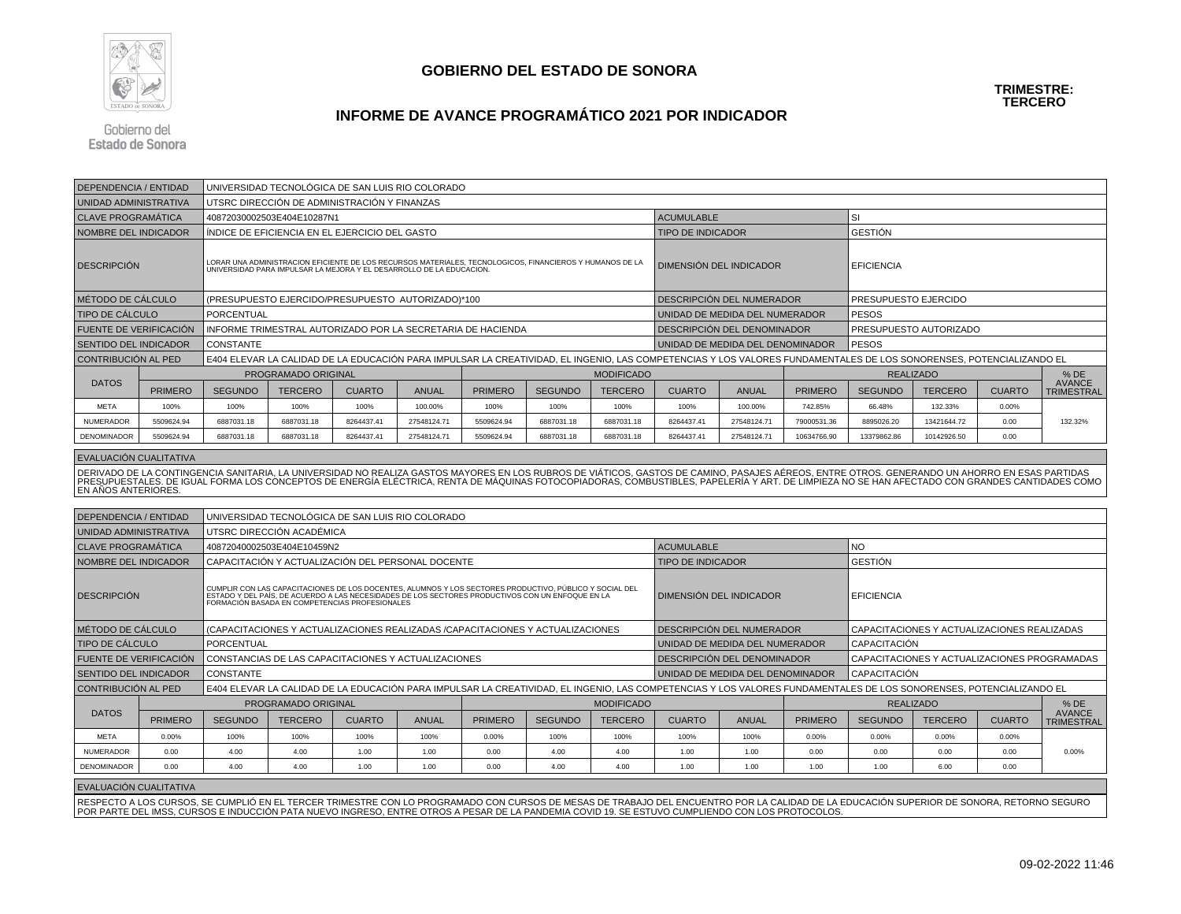

#### **INFORME DE AVANCE PROGRAMÁTICO 2021 POR INDICADOR**

Gobierno del **Estado de Sonora** 

| <b>DEPENDENCIA / ENTIDAD</b> |                                                                                                                                                                                  |                  | UNIVERSIDAD TECNOLÓGICA DE SAN LUIS RIO COLORADO            |               |              |                |                |                   |                                                                                                                                                                     |                                  |                   |                                   |                |               |                                    |
|------------------------------|----------------------------------------------------------------------------------------------------------------------------------------------------------------------------------|------------------|-------------------------------------------------------------|---------------|--------------|----------------|----------------|-------------------|---------------------------------------------------------------------------------------------------------------------------------------------------------------------|----------------------------------|-------------------|-----------------------------------|----------------|---------------|------------------------------------|
| UNIDAD ADMINISTRATIVA        |                                                                                                                                                                                  |                  | UTSRC DIRECCIÓN DE ADMINISTRACIÓN Y FINANZAS                |               |              |                |                |                   |                                                                                                                                                                     |                                  |                   |                                   |                |               |                                    |
| <b>CLAVE PROGRAMÁTICA</b>    |                                                                                                                                                                                  |                  | 40872030002503E404E10287N1                                  |               |              |                |                |                   | <b>ACUMULABLE</b>                                                                                                                                                   |                                  |                   | SI                                |                |               |                                    |
| <b>NOMBRE DEL INDICADOR</b>  |                                                                                                                                                                                  |                  | INDICE DE EFICIENCIA EN EL EJERCICIO DEL GASTO              |               |              |                |                |                   | <b>TIPO DE INDICADOR</b>                                                                                                                                            |                                  |                   | <b>GESTIÓN</b>                    |                |               |                                    |
| <b>DESCRIPCIÓN</b>           | LORAR UNA ADMINISTRACION EFICIENTE DE LOS RECURSOS MATERIALES, TECNOLOGICOS, FINANCIEROS Y HUMANOS DE LA<br>UNIVERSIDAD PARA IMPULSAR LA MEJORA Y EL DESARROLLO DE LA EDUCACION. |                  |                                                             |               |              |                |                |                   | DIMENSIÓN DEL INDICADOR                                                                                                                                             |                                  | <b>EFICIENCIA</b> |                                   |                |               |                                    |
| MÉTODO DE CÁLCULO            |                                                                                                                                                                                  |                  | (PRESUPUESTO EJERCIDO/PRESUPUESTO AUTORIZADO)*100           |               |              |                |                |                   |                                                                                                                                                                     | DESCRIPCIÓN DEL NUMERADOR        |                   | PRESUPUESTO EJERCIDO              |                |               |                                    |
| <b>TIPO DE CÁLCULO</b>       |                                                                                                                                                                                  | PORCENTUAL       |                                                             |               |              |                |                |                   |                                                                                                                                                                     | UNIDAD DE MEDIDA DEL NUMERADOR   |                   | <b>PESOS</b>                      |                |               |                                    |
| FUENTE DE VERIFICACIÓN       |                                                                                                                                                                                  |                  | INFORME TRIMESTRAL AUTORIZADO POR LA SECRETARIA DE HACIENDA |               |              |                |                |                   |                                                                                                                                                                     | DESCRIPCIÓN DEL DENOMINADOR      |                   | PRESUPUESTO AUTORIZADO            |                |               |                                    |
| <b>SENTIDO DEL INDICADOR</b> |                                                                                                                                                                                  | <b>CONSTANTE</b> |                                                             |               |              |                |                |                   |                                                                                                                                                                     | UNIDAD DE MEDIDA DEL DENOMINADOR |                   | l PESOS                           |                |               |                                    |
| CONTRIBUCIÓN AL PED          |                                                                                                                                                                                  |                  |                                                             |               |              |                |                |                   | E404 ELEVAR LA CALIDAD DE LA EDUCACIÓN PARA IMPULSAR LA CREATIVIDAD, EL INGENIO, LAS COMPETENCIAS Y LOS VALORES FUNDAMENTALES DE LOS SONORENSES, POTENCIALIZANDO EL |                                  |                   |                                   |                |               |                                    |
|                              |                                                                                                                                                                                  |                  | PROGRAMADO ORIGINAL                                         |               |              |                |                | <b>MODIFICADO</b> |                                                                                                                                                                     |                                  |                   | <b>REALIZADO</b>                  |                |               | $%$ DE                             |
| <b>DATOS</b>                 | <b>PRIMERO</b>                                                                                                                                                                   | <b>SEGUNDO</b>   | <b>TERCERO</b>                                              | <b>CUARTO</b> | <b>ANUAL</b> | <b>PRIMERO</b> | <b>SEGUNDO</b> | <b>TERCERO</b>    | <b>CUARTO</b>                                                                                                                                                       | <b>ANUAL</b>                     | <b>PRIMERO</b>    | <b>SEGUNDO</b>                    | <b>TERCERO</b> | <b>CUARTO</b> | <b>AVANCE</b><br><b>TRIMESTRAL</b> |
| <b>META</b>                  | 100%                                                                                                                                                                             | 100%             | 100%                                                        | 100%          | 100.00%      | 100%           | 100%           | 100%              | 100%                                                                                                                                                                | 100.00%                          | 742.85%           | 66.48%                            | 132.33%        | 0.00%         |                                    |
| <b>NUMERADOR</b>             | 5509624.94                                                                                                                                                                       | 6887031.18       | 6887031.18                                                  | 8264437.41    | 27548124.71  | 5509624.94     | 6887031.18     | 6887031.18        | 8264437.41                                                                                                                                                          | 27548124.71                      | 79000531.36       | 8895026.20<br>13421644.72<br>0.00 |                |               | 132.32%                            |
| DENOMINADOR                  | 5509624.94                                                                                                                                                                       | 6887031.18       | 6887031.18                                                  | 8264437.41    | 27548124.71  | 5509624.94     | 6887031.18     | 6887031.18        | 8264437.41                                                                                                                                                          | 27548124.71                      | 10634766.90       | 13379862.86                       | 10142926.50    | 0.00          |                                    |

#### EVALUACIÓN CUALITATIVA

DERIVADO DE LA CONTINGENCIA SANITARIA, LA UNIVERSIDAD NO REALIZA GASTOS MAYORES EN LOS RUBROS DE VIÁTICOS, GASTOS DE CAMINO, PASAJES AÉREOS, ENTRE OTROS. GENERANDO UN AHORRO EN ESAS PARTIDAS<br>PRESUPUESTALES. DE IGUAL FORMA EN AÑOS ANTERIORES.

| DEPENDENCIA / ENTIDAD         |                | UNIVERSIDAD TECNOLÓGICA DE SAN LUIS RIO COLORADO      |                                                                                                                                                                                                                                                                |               |              |                |                   |                |                                                                                                                                                                     |              |                  |                                             |                                              |               |                             |
|-------------------------------|----------------|-------------------------------------------------------|----------------------------------------------------------------------------------------------------------------------------------------------------------------------------------------------------------------------------------------------------------------|---------------|--------------|----------------|-------------------|----------------|---------------------------------------------------------------------------------------------------------------------------------------------------------------------|--------------|------------------|---------------------------------------------|----------------------------------------------|---------------|-----------------------------|
| UNIDAD ADMINISTRATIVA         |                |                                                       | UTSRC DIRECCIÓN ACADÉMICA                                                                                                                                                                                                                                      |               |              |                |                   |                |                                                                                                                                                                     |              |                  |                                             |                                              |               |                             |
| <b>CLAVE PROGRAMÁTICA</b>     |                |                                                       | 40872040002503E404E10459N2                                                                                                                                                                                                                                     |               |              |                |                   |                | <b>ACUMULABLE</b>                                                                                                                                                   |              |                  | <b>NO</b>                                   |                                              |               |                             |
| NOMBRE DEL INDICADOR          |                |                                                       | CAPACITACIÓN Y ACTUALIZACIÓN DEL PERSONAL DOCENTE                                                                                                                                                                                                              |               |              |                |                   |                | <b>TIPO DE INDICADOR</b>                                                                                                                                            |              |                  | <b>GESTIÓN</b>                              |                                              |               |                             |
| <b>DESCRIPCIÓN</b>            |                |                                                       | CUMPLIR CON LAS CAPACITACIONES DE LOS DOCENTES, ALUMNOS Y LOS SECTORES PRODUCTIVO, PÚBLICO Y SOCIAL DEL<br>ESTADO Y, DEL PAÍS, DE ACUERDO A LAS NECESIDADES DE LOS SECTORES PRODUCTIVOS CON UN ENFOQUE EN LA<br>FORMACIÓN BASADA EN COMPETENCIAS PROFESIONALES |               |              |                |                   |                | <b>DIMENSIÓN DEL INDICADOR</b>                                                                                                                                      |              |                  | <b>EFICIENCIA</b>                           |                                              |               |                             |
| I MÉTODO DE CÁLCULO           |                |                                                       | (CAPACITACIONES Y ACTUALIZACIONES REALIZADAS /CAPACITACIONES Y ACTUALIZACIONES                                                                                                                                                                                 |               |              |                |                   |                | DESCRIPCIÓN DEL NUMERADOR                                                                                                                                           |              |                  | CAPACITACIONES Y ACTUALIZACIONES REALIZADAS |                                              |               |                             |
| <b>TIPO DE CÁLCULO</b>        |                | <b>PORCENTUAL</b>                                     |                                                                                                                                                                                                                                                                |               |              |                |                   |                | UNIDAD DE MEDIDA DEL NUMERADOR                                                                                                                                      |              |                  | <b>CAPACITACIÓN</b>                         |                                              |               |                             |
| <b>FUENTE DE VERIFICACIÓN</b> |                |                                                       | CONSTANCIAS DE LAS CAPACITACIONES Y ACTUALIZACIONES                                                                                                                                                                                                            |               |              |                |                   |                | DESCRIPCIÓN DEL DENOMINADOR                                                                                                                                         |              |                  |                                             | CAPACITACIONES Y ACTUALIZACIONES PROGRAMADAS |               |                             |
| <b>SENTIDO DEL INDICADOR</b>  |                | <b>CONSTANTE</b>                                      |                                                                                                                                                                                                                                                                |               |              |                |                   |                | UNIDAD DE MEDIDA DEL DENOMINADOR                                                                                                                                    |              |                  | <b>CAPACITACIÓN</b>                         |                                              |               |                             |
| CONTRIBUCIÓN AL PED           |                |                                                       |                                                                                                                                                                                                                                                                |               |              |                |                   |                | E404 ELEVAR LA CALIDAD DE LA EDUCACIÓN PARA IMPULSAR LA CREATIVIDAD. EL INGENIO, LAS COMPETENCIAS Y LOS VALORES FUNDAMENTALES DE LOS SONORENSES, POTENCIALIZANDO EL |              |                  |                                             |                                              |               |                             |
|                               |                |                                                       | <b>PROGRAMADO ORIGINAL</b>                                                                                                                                                                                                                                     |               |              |                | <b>MODIFICADO</b> |                |                                                                                                                                                                     |              | <b>REALIZADO</b> |                                             |                                              |               | $%$ DE                      |
| <b>DATOS</b>                  | <b>PRIMERO</b> | <b>SEGUNDO</b>                                        | <b>TERCERO</b>                                                                                                                                                                                                                                                 | <b>CUARTO</b> | <b>ANUAL</b> | <b>PRIMERO</b> | <b>SEGUNDO</b>    | <b>TERCERO</b> | <b>CUARTO</b>                                                                                                                                                       | <b>ANUAL</b> | <b>PRIMERO</b>   | <b>SEGUNDO</b>                              | <b>TERCERO</b>                               | <b>CUARTO</b> | <b>AVANCE</b><br>TRIMESTRAL |
| <b>META</b>                   | 0.00%          | 100%<br>100%<br>100%<br>100%<br>0.00%<br>100%<br>100% |                                                                                                                                                                                                                                                                |               |              |                |                   |                | 100%                                                                                                                                                                | 100%         | 0.00%            | 0.00%                                       | 0.00%                                        | 0.00%         |                             |
| <b>NUMERADOR</b>              | 0.00           | 4.00                                                  | 4.00                                                                                                                                                                                                                                                           | 1.00          | 1.00         | 0.00           | 4.00              | 4.00           | 1.00                                                                                                                                                                | 1.00         | 0.00             | 0.00                                        | 0.00                                         | 0.00          | 0.00%                       |
| <b>DENOMINADOR</b>            | 0.00           | 4.00                                                  | 4.00                                                                                                                                                                                                                                                           | 1.00          | 1.00         | 0.00           | 4.00              | 4.00           | 1.00                                                                                                                                                                | 1.00         | 1.00             | 1.00                                        | 6.00                                         | 0.00          |                             |
| I EVALUACIÓN CUALITATIVA      |                |                                                       |                                                                                                                                                                                                                                                                |               |              |                |                   |                |                                                                                                                                                                     |              |                  |                                             |                                              |               |                             |

RESPECTO A LOS CURSOS, SE CUMPLIÓ EN EL TERCER TRIMESTRE CON LO PROGRAMADO CON CURSOS DE MESAS DE TRABAJO DEL ENCUENTRO POR LA CALIDAD DE LA EDUCACIÓN SUPERIOR DE SONORA, RETORNO SEGURO<br>POR PARTE DEL IMSS, CURSOS E INDUCCI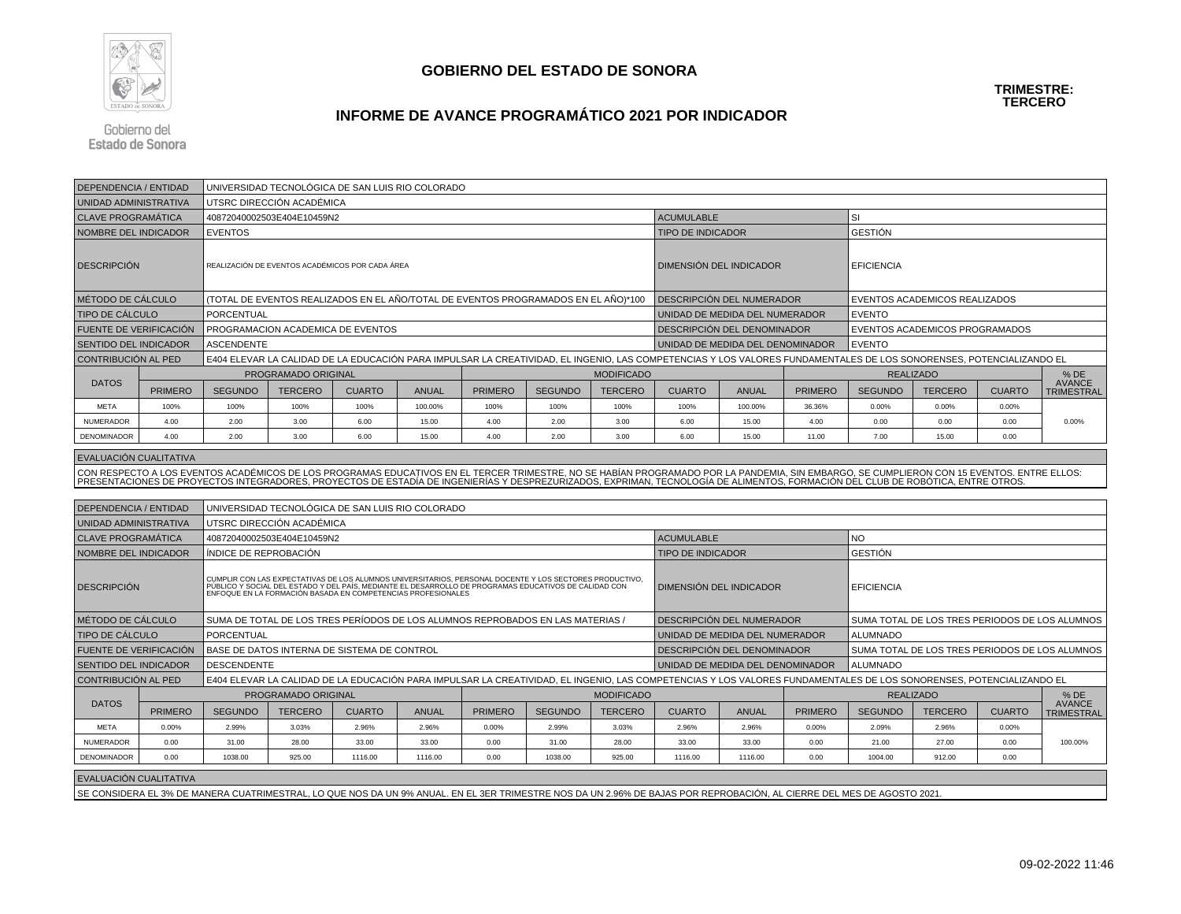

## **INFORME DE AVANCE PROGRAMÁTICO 2021 POR INDICADOR**

Gobierno del **Estado de Sonora** 

| <b>DEPENDENCIA / ENTIDAD</b>  |                | UNIVERSIDAD TECNOLÓGICA DE SAN LUIS RIO COLORADO                                                                                                                    |                                                  |               |              |                                                                                                                                                                                                                                   |                |                   |                                                                                                                                                                                                                                   |                                  |                |                               |                                                |               |                                    |
|-------------------------------|----------------|---------------------------------------------------------------------------------------------------------------------------------------------------------------------|--------------------------------------------------|---------------|--------------|-----------------------------------------------------------------------------------------------------------------------------------------------------------------------------------------------------------------------------------|----------------|-------------------|-----------------------------------------------------------------------------------------------------------------------------------------------------------------------------------------------------------------------------------|----------------------------------|----------------|-------------------------------|------------------------------------------------|---------------|------------------------------------|
| UNIDAD ADMINISTRATIVA         |                |                                                                                                                                                                     | UTSRC DIRECCIÓN ACADÉMICA                        |               |              |                                                                                                                                                                                                                                   |                |                   |                                                                                                                                                                                                                                   |                                  |                |                               |                                                |               |                                    |
| <b>CLAVE PROGRAMÁTICA</b>     |                |                                                                                                                                                                     | 40872040002503E404E10459N2                       |               |              |                                                                                                                                                                                                                                   |                |                   | <b>ACUMULABLE</b>                                                                                                                                                                                                                 |                                  |                | SI                            |                                                |               |                                    |
| NOMBRE DEL INDICADOR          |                | <b>EVENTOS</b>                                                                                                                                                      |                                                  |               |              |                                                                                                                                                                                                                                   |                |                   | <b>TIPO DE INDICADOR</b>                                                                                                                                                                                                          |                                  |                | <b>GESTIÓN</b>                |                                                |               |                                    |
| <b>DESCRIPCION</b>            |                |                                                                                                                                                                     | REALIZACIÓN DE EVENTOS ACADÉMICOS POR CADA ÁREA  |               |              |                                                                                                                                                                                                                                   |                |                   |                                                                                                                                                                                                                                   | DIMENSIÓN DEL INDICADOR          |                | <b>EFICIENCIA</b>             |                                                |               |                                    |
| MÉTODO DE CÁLCULO             |                |                                                                                                                                                                     |                                                  |               |              | (TOTAL DE EVENTOS REALIZADOS EN EL AÑO/TOTAL DE EVENTOS PROGRAMADOS EN EL AÑO)*100                                                                                                                                                |                |                   |                                                                                                                                                                                                                                   | DESCRIPCIÓN DEL NUMERADOR        |                | EVENTOS ACADEMICOS REALIZADOS |                                                |               |                                    |
| <b>TIPO DE CÁLCULO</b>        |                | PORCENTUAL                                                                                                                                                          |                                                  |               |              |                                                                                                                                                                                                                                   |                |                   | UNIDAD DE MEDIDA DEL NUMERADOR                                                                                                                                                                                                    |                                  |                | <b>EVENTO</b>                 |                                                |               |                                    |
| FUENTE DE VERIFICACIÓN        |                |                                                                                                                                                                     | PROGRAMACION ACADEMICA DE EVENTOS                |               |              |                                                                                                                                                                                                                                   |                |                   |                                                                                                                                                                                                                                   | DESCRIPCIÓN DEL DENOMINADOR      |                |                               | EVENTOS ACADEMICOS PROGRAMADOS                 |               |                                    |
| <b>SENTIDO DEL INDICADOR</b>  |                | <b>ASCENDENTE</b>                                                                                                                                                   |                                                  |               |              |                                                                                                                                                                                                                                   |                |                   |                                                                                                                                                                                                                                   | UNIDAD DE MEDIDA DEL DENOMINADOR |                | <b>EVENTO</b>                 |                                                |               |                                    |
| CONTRIBUCIÓN AL PED           |                | E404 ELEVAR LA CALIDAD DE LA EDUCACIÓN PARA IMPULSAR LA CREATIVIDAD, EL INGENIO, LAS COMPETENCIAS Y LOS VALORES FUNDAMENTALES DE LOS SONORENSES, POTENCIALIZANDO EL |                                                  |               |              |                                                                                                                                                                                                                                   |                |                   |                                                                                                                                                                                                                                   |                                  |                |                               |                                                |               |                                    |
|                               |                |                                                                                                                                                                     | PROGRAMADO ORIGINAL                              |               |              |                                                                                                                                                                                                                                   |                | <b>MODIFICADO</b> |                                                                                                                                                                                                                                   |                                  |                |                               | <b>REALIZADO</b>                               |               | % DE                               |
| <b>DATOS</b>                  | <b>PRIMERO</b> | <b>SEGUNDO</b>                                                                                                                                                      | <b>TERCERO</b>                                   | <b>CUARTO</b> | <b>ANUAL</b> | <b>PRIMERO</b>                                                                                                                                                                                                                    | <b>SEGUNDO</b> | <b>TERCERO</b>    | <b>CUARTO</b>                                                                                                                                                                                                                     | <b>ANUAL</b>                     | <b>PRIMERO</b> | <b>SEGUNDO</b>                | <b>TERCERO</b>                                 | <b>CUARTO</b> | <b>AVANCE</b><br><b>TRIMESTRAL</b> |
| <b>META</b>                   | 100%           | 100%                                                                                                                                                                | 100%                                             | 100%          | 100.00%      | 100%                                                                                                                                                                                                                              | 100%           | 100%              | 100%                                                                                                                                                                                                                              | 100.00%                          | 36.36%         | 0.00%                         | 0.00%                                          | 0.00%         |                                    |
| NUMERADOR                     | 4.00           | 2.00                                                                                                                                                                | 3.00                                             | 6.00          | 15.00        | 4.00                                                                                                                                                                                                                              | 2.00           | 3.00              | 6.00                                                                                                                                                                                                                              | 15.00                            | 4.00           | 0.00                          | 0.00                                           | 0.00          | 0.00%                              |
| DENOMINADOR                   | 4.00           | 2.00                                                                                                                                                                | 3.00                                             | 6.00          | 15.00        | 4.00                                                                                                                                                                                                                              | 2.00           | 3.00              | 6.00                                                                                                                                                                                                                              | 15.00                            | 11.00          | 7.00                          | 15.00                                          | 0.00          |                                    |
|                               |                |                                                                                                                                                                     |                                                  |               |              |                                                                                                                                                                                                                                   |                |                   |                                                                                                                                                                                                                                   |                                  |                |                               |                                                |               |                                    |
| <b>EVALUACION CUALITATIVA</b> |                |                                                                                                                                                                     |                                                  |               |              |                                                                                                                                                                                                                                   |                |                   |                                                                                                                                                                                                                                   |                                  |                |                               |                                                |               |                                    |
|                               |                |                                                                                                                                                                     |                                                  |               |              |                                                                                                                                                                                                                                   |                |                   | CON RESPECTO A LOS EVENTOS ACADÉMICOS DE LOS PROGRAMAS EDUCATIVOS EN EL TERCER TRIMESTRE, NO SE HABÍAN PROGRAMADO POR LA PANDEMIA, SIN EMBARGO, SE CUMPLIERON CON 15 EVENTOS. ENTRE ELLOS:<br>PRESENTACIONES DE PROYECTOS INTEGRA |                                  |                |                               |                                                |               |                                    |
|                               |                |                                                                                                                                                                     |                                                  |               |              |                                                                                                                                                                                                                                   |                |                   |                                                                                                                                                                                                                                   |                                  |                |                               |                                                |               |                                    |
| DEPENDENCIA / ENTIDAD         |                |                                                                                                                                                                     | UNIVERSIDAD TECNOLÓGICA DE SAN LUIS RIO COLORADO |               |              |                                                                                                                                                                                                                                   |                |                   |                                                                                                                                                                                                                                   |                                  |                |                               |                                                |               |                                    |
| UNIDAD ADMINISTRATIVA         |                |                                                                                                                                                                     | UTSRC DIRECCIÓN ACADÉMICA                        |               |              |                                                                                                                                                                                                                                   |                |                   |                                                                                                                                                                                                                                   |                                  |                |                               |                                                |               |                                    |
| <b>CLAVE PROGRAMÁTICA</b>     |                |                                                                                                                                                                     | 40872040002503E404E10459N2                       |               |              |                                                                                                                                                                                                                                   |                |                   | <b>ACUMULABLE</b><br><b>NO</b>                                                                                                                                                                                                    |                                  |                |                               |                                                |               |                                    |
| NOMBRE DEL INDICADOR          |                | ÍNDICE DE REPROBACIÓN                                                                                                                                               |                                                  |               |              |                                                                                                                                                                                                                                   |                |                   | <b>TIPO DE INDICADOR</b>                                                                                                                                                                                                          |                                  |                | <b>GESTIÓN</b>                |                                                |               |                                    |
| <b>DESCRIPCIÓN</b>            |                |                                                                                                                                                                     |                                                  |               |              | CUMPLIR CON LAS EXPECTATIVAS DE LOS ALUMNOS UNIVERSITARIOS, PERSONAL DOCENTE Y LOS SECTORES PRODUCTIVO,<br>  PÚBLICO Y SOCIAL DEL ESTADO Y DEL PAÍS, MEDIANTE EL DESARROLLO DE PROGRAMAS EDUCATIVOS DE CALIDAD CON<br>  ENFOQUE E |                |                   |                                                                                                                                                                                                                                   | DIMENSIÓN DEL INDICADOR          |                | <b>EFICIENCIA</b>             |                                                |               |                                    |
| MÉTODO DE CÁLCULO             |                |                                                                                                                                                                     |                                                  |               |              | SUMA DE TOTAL DE LOS TRES PERÍODOS DE LOS ALUMNOS REPROBADOS EN LAS MATERIAS /                                                                                                                                                    |                |                   |                                                                                                                                                                                                                                   | DESCRIPCIÓN DEL NUMERADOR        |                |                               | SUMA TOTAL DE LOS TRES PERIODOS DE LOS ALUMNOS |               |                                    |
| TIPO DE CÁLCULO               |                | <b>PORCENTUAL</b>                                                                                                                                                   |                                                  |               |              |                                                                                                                                                                                                                                   |                |                   |                                                                                                                                                                                                                                   | UNIDAD DE MEDIDA DEL NUMERADOR   |                | <b>ALUMNADO</b>               |                                                |               |                                    |
| FUENTE DE VERIFICACIÓN        |                |                                                                                                                                                                     | BASE DE DATOS INTERNA DE SISTEMA DE CONTROL      |               |              |                                                                                                                                                                                                                                   |                |                   |                                                                                                                                                                                                                                   | DESCRIPCIÓN DEL DENOMINADOR      |                |                               | SUMA TOTAL DE LOS TRES PERIODOS DE LOS ALUMNOS |               |                                    |
| <b>SENTIDO DEL INDICADOR</b>  |                | <b>DESCENDENTE</b>                                                                                                                                                  |                                                  |               |              |                                                                                                                                                                                                                                   |                |                   |                                                                                                                                                                                                                                   | UNIDAD DE MEDIDA DEL DENOMINADOR |                | <b>ALUMNADO</b>               |                                                |               |                                    |
| CONTRIBUCIÓN AL PED           |                |                                                                                                                                                                     |                                                  |               |              |                                                                                                                                                                                                                                   |                |                   | E404 ELEVAR LA CALIDAD DE LA EDUCACIÓN PARA IMPULSAR LA CREATIVIDAD, EL INGENIO, LAS COMPETENCIAS Y LOS VALORES FUNDAMENTALES DE LOS SONORENSES, POTENCIALIZANDO EL                                                               |                                  |                |                               |                                                |               |                                    |
|                               |                |                                                                                                                                                                     | PROGRAMADO ORIGINAL                              |               |              |                                                                                                                                                                                                                                   |                | <b>MODIFICADO</b> |                                                                                                                                                                                                                                   |                                  |                |                               | <b>REALIZADO</b>                               |               | $%$ DE                             |
| <b>DATOS</b>                  | <b>PRIMERO</b> | <b>SEGUNDO</b>                                                                                                                                                      | <b>TERCERO</b>                                   | <b>CUARTO</b> | ANUAL        | <b>PRIMERO</b>                                                                                                                                                                                                                    | <b>SEGUNDO</b> | <b>TERCERO</b>    | <b>CUARTO</b>                                                                                                                                                                                                                     | <b>ANUAL</b>                     | <b>PRIMERO</b> | <b>SEGUNDO</b>                | <b>TERCERO</b>                                 | <b>CUARTO</b> | <b>AVANCE</b><br><b>TRIMESTRAL</b> |
| <b>META</b>                   | 0.00%          | 2.99%                                                                                                                                                               | 3.03%                                            | 2.96%         | 2.96%        | 0.00%                                                                                                                                                                                                                             | 2.99%          | 3.03%             | 2.96%                                                                                                                                                                                                                             | 2.96%                            | 0.00%          | 2.09%                         | 2.96%                                          | 0.00%         |                                    |
| NUMERADOR                     | 0.00           | 31.00                                                                                                                                                               | 28.00                                            | 33.00         | 33.00        | 0.00                                                                                                                                                                                                                              | 31.00          | 28.00             | 33.00                                                                                                                                                                                                                             | 33.00                            | 0.00           | 21.00                         | 27.00                                          | 0.00          | 100.00%                            |
| DENOMINADOR                   | 0.00           | 1038.00                                                                                                                                                             | 925.00                                           | 1116.00       | 1116.00      | 0.00                                                                                                                                                                                                                              | 1038.00        | 925.00            | 1116.00                                                                                                                                                                                                                           | 1116.00                          | 0.00           | 1004.00                       | 912.00                                         | 0.00          |                                    |
| EVALUACIÓN CUALITATIVA        |                |                                                                                                                                                                     |                                                  |               |              |                                                                                                                                                                                                                                   |                |                   |                                                                                                                                                                                                                                   |                                  |                |                               |                                                |               |                                    |
|                               |                |                                                                                                                                                                     |                                                  |               |              |                                                                                                                                                                                                                                   |                |                   | SE CONSIDERA EL 3% DE MANERA CUATRIMESTRAL, LO QUE NOS DA UN 9% ANUAL. EN EL 3ER TRIMESTRE NOS DA UN 2.96% DE BAJAS POR REPROBACIÓN, AL CIERRE DEL MES DE AGOSTO 2021.                                                            |                                  |                |                               |                                                |               |                                    |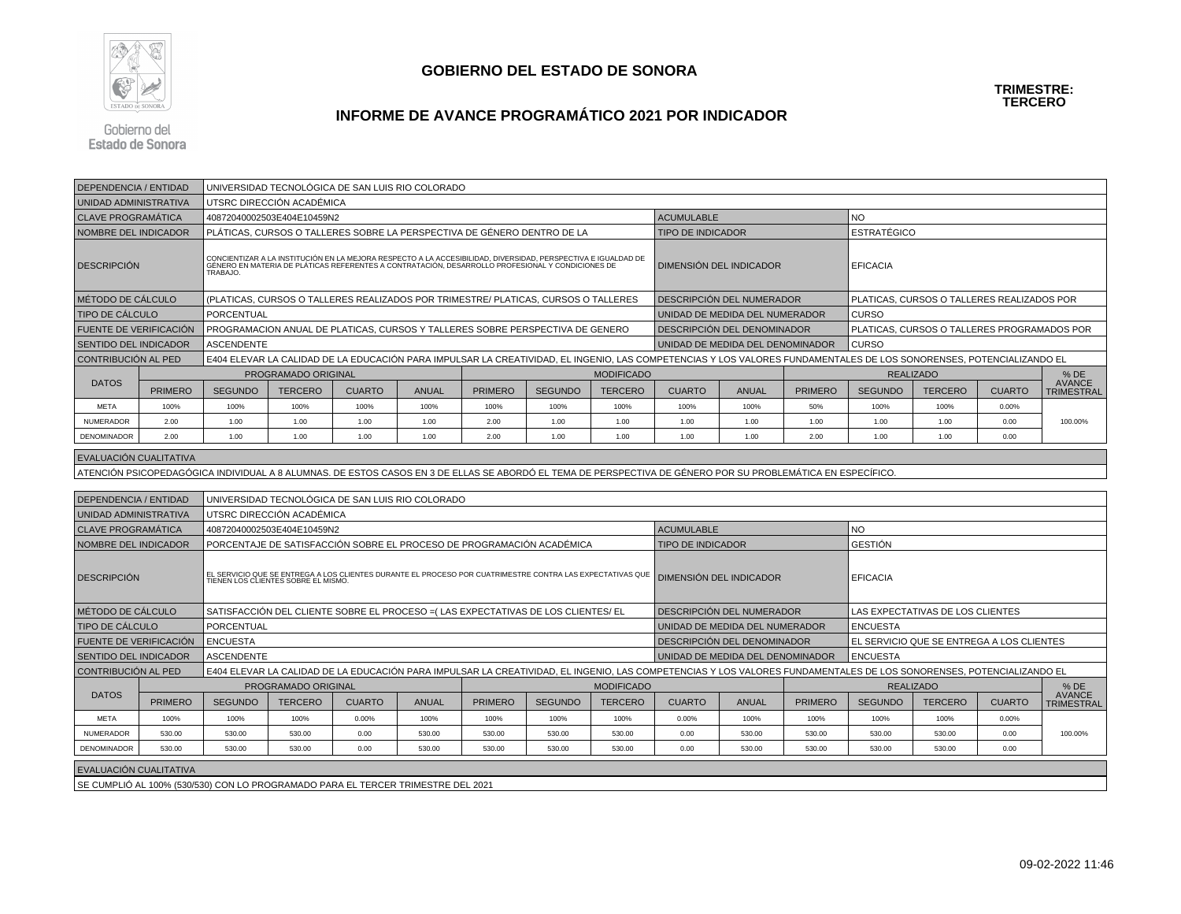

#### **TRIMESTRE:TERCERO**

## **INFORME DE AVANCE PROGRAMÁTICO 2021 POR INDICADOR**

Gobierno del **Estado de Sonora** 

| <b>DEPENDENCIA / ENTIDAD</b>                                                                                                                                |                | UNIVERSIDAD TECNOLÓGICA DE SAN LUIS RIO COLORADO |                                                                                                                                                                                                                   |               |              |                |                |                   |                                                                                                                                                                     |                                  |                |                                             |                                           |               |                                    |  |
|-------------------------------------------------------------------------------------------------------------------------------------------------------------|----------------|--------------------------------------------------|-------------------------------------------------------------------------------------------------------------------------------------------------------------------------------------------------------------------|---------------|--------------|----------------|----------------|-------------------|---------------------------------------------------------------------------------------------------------------------------------------------------------------------|----------------------------------|----------------|---------------------------------------------|-------------------------------------------|---------------|------------------------------------|--|
| UNIDAD ADMINISTRATIVA                                                                                                                                       |                |                                                  | UTSRC DIRECCIÓN ACADÉMICA                                                                                                                                                                                         |               |              |                |                |                   |                                                                                                                                                                     |                                  |                |                                             |                                           |               |                                    |  |
| <b>CLAVE PROGRAMÁTICA</b>                                                                                                                                   |                |                                                  | 40872040002503E404E10459N2                                                                                                                                                                                        |               |              |                |                |                   | <b>ACUMULABLE</b>                                                                                                                                                   |                                  |                | NO.                                         |                                           |               |                                    |  |
| NOMBRE DEL INDICADOR                                                                                                                                        |                |                                                  | PLÁTICAS. CURSOS O TALLERES SOBRE LA PERSPECTIVA DE GÉNERO DENTRO DE LA                                                                                                                                           |               |              |                |                |                   | <b>TIPO DE INDICADOR</b>                                                                                                                                            |                                  |                | <b>ESTRATÉGICO</b>                          |                                           |               |                                    |  |
| <b>DESCRIPCIÓN</b>                                                                                                                                          |                | TRABAJO.                                         | CONCIENTIZAR A LA INSTITUCIÓN EN LA MEJORA RESPECTO A LA ACCESIBILIDAD, DIVERSIDAD, PERSPECTIVA E IGUALDAD DE<br>GÉNERO EN MATERIA DE PLÁTICAS REFERENTES A CONTRATACIÓN, DESARROLLO PROFESIONAL Y CONDICIONES DE |               |              |                |                |                   |                                                                                                                                                                     | DIMENSIÓN DEL INDICADOR          |                | <b>EFICACIA</b>                             |                                           |               |                                    |  |
| MÉTODO DE CÁLCULO                                                                                                                                           |                |                                                  | (PLATICAS, CURSOS O TALLERES REALIZADOS POR TRIMESTRE/ PLATICAS, CURSOS O TALLERES                                                                                                                                |               |              |                |                |                   |                                                                                                                                                                     | DESCRIPCIÓN DEL NUMERADOR        |                | PLATICAS, CURSOS O TALLERES REALIZADOS POR  |                                           |               |                                    |  |
| TIPO DE CÁLCULO                                                                                                                                             |                | PORCENTUAL                                       |                                                                                                                                                                                                                   |               |              |                |                |                   | UNIDAD DE MEDIDA DEL NUMERADOR                                                                                                                                      |                                  |                | <b>CURSO</b>                                |                                           |               |                                    |  |
| FUENTE DE VERIFICACIÓN                                                                                                                                      |                |                                                  | PROGRAMACION ANUAL DE PLATICAS, CURSOS Y TALLERES SOBRE PERSPECTIVA DE GENERO                                                                                                                                     |               |              |                |                |                   | DESCRIPCIÓN DEL DENOMINADOR                                                                                                                                         |                                  |                | PLATICAS, CURSOS O TALLERES PROGRAMADOS POR |                                           |               |                                    |  |
| <b>SENTIDO DEL INDICADOR</b>                                                                                                                                |                | <b>ASCENDENTE</b>                                |                                                                                                                                                                                                                   |               |              |                |                |                   |                                                                                                                                                                     | UNIDAD DE MEDIDA DEL DENOMINADOR |                | <b>CURSO</b>                                |                                           |               |                                    |  |
| <b>CONTRIBUCIÓN AL PED</b>                                                                                                                                  |                |                                                  |                                                                                                                                                                                                                   |               |              |                |                |                   | E404 ELEVAR LA CALIDAD DE LA EDUCACIÓN PARA IMPULSAR LA CREATIVIDAD, EL INGENIO, LAS COMPETENCIAS Y LOS VALORES FUNDAMENTALES DE LOS SONORENSES, POTENCIALIZANDO EL |                                  |                |                                             |                                           |               |                                    |  |
|                                                                                                                                                             |                |                                                  | PROGRAMADO ORIGINAL                                                                                                                                                                                               |               |              |                |                | <b>MODIFICADO</b> |                                                                                                                                                                     |                                  |                |                                             | <b>REALIZADO</b>                          |               | $%$ DE                             |  |
| <b>DATOS</b>                                                                                                                                                | <b>PRIMERO</b> | <b>SEGUNDO</b>                                   | <b>TERCERO</b>                                                                                                                                                                                                    | <b>CUARTO</b> | <b>ANUAL</b> | <b>PRIMERO</b> | <b>SEGUNDO</b> | <b>TERCERO</b>    | <b>CUARTO</b>                                                                                                                                                       | <b>ANUAL</b>                     | <b>PRIMERO</b> | <b>SEGUNDO</b>                              | <b>TERCERO</b>                            | <b>CUARTO</b> | <b>AVANCE</b><br>TRIMESTRAL        |  |
| <b>META</b>                                                                                                                                                 | 100%           | 100%                                             | 100%                                                                                                                                                                                                              | 100%          | 100%         | 100%           | 100%           | 100%              | 100%                                                                                                                                                                | 100%                             | 50%            | 100%                                        | 100%                                      | 0.00%         |                                    |  |
| <b>NUMERADOR</b>                                                                                                                                            | 2.00           | 1.00                                             | 1.00                                                                                                                                                                                                              | 1.00          | 1.00         | 2.00           | 1.00           | 1.00              | 1.00                                                                                                                                                                | 1.00                             | 1.00           | 1.00                                        | 1.00                                      | 0.00          | 100.00%                            |  |
| DENOMINADOR                                                                                                                                                 | 2.00           | 1.00                                             | 1.00                                                                                                                                                                                                              | 1.00          | 1.00         | 2.00           | 1.00           | 1.00              | 1.00                                                                                                                                                                | 1.00                             | 2.00           | 1.00                                        | 1.00                                      | 0.00          |                                    |  |
| EVALUACIÓN CUALITATIVA                                                                                                                                      |                |                                                  |                                                                                                                                                                                                                   |               |              |                |                |                   |                                                                                                                                                                     |                                  |                |                                             |                                           |               |                                    |  |
|                                                                                                                                                             |                |                                                  |                                                                                                                                                                                                                   |               |              |                |                |                   |                                                                                                                                                                     |                                  |                |                                             |                                           |               |                                    |  |
| ATENCIÓN PSICOPEDAGÓGICA INDIVIDUAL A 8 ALUMNAS. DE ESTOS CASOS EN 3 DE ELLAS SE ABORDÓ EL TEMA DE PERSPECTIVA DE GÉNERO POR SU PROBLEMÁTICA EN ESPECÍFICO. |                |                                                  |                                                                                                                                                                                                                   |               |              |                |                |                   |                                                                                                                                                                     |                                  |                |                                             |                                           |               |                                    |  |
| <b>DEPENDENCIA / ENTIDAD</b>                                                                                                                                |                |                                                  | UNIVERSIDAD TECNOLÓGICA DE SAN LUIS RIO COLORADO                                                                                                                                                                  |               |              |                |                |                   |                                                                                                                                                                     |                                  |                |                                             |                                           |               |                                    |  |
| UNIDAD ADMINISTRATIVA                                                                                                                                       |                |                                                  | UTSRC DIRECCIÓN ACADÉMICA                                                                                                                                                                                         |               |              |                |                |                   |                                                                                                                                                                     |                                  |                |                                             |                                           |               |                                    |  |
| <b>CLAVE PROGRAMATICA</b>                                                                                                                                   |                |                                                  | 40872040002503E404E10459N2                                                                                                                                                                                        |               |              |                |                |                   | <b>ACUMULABLE</b><br><b>NO</b>                                                                                                                                      |                                  |                |                                             |                                           |               |                                    |  |
| NOMBRE DEL INDICADOR                                                                                                                                        |                |                                                  | PORCENTAJE DE SATISFACCIÓN SOBRE EL PROCESO DE PROGRAMACIÓN ACADÉMICA                                                                                                                                             |               |              |                |                |                   | <b>TIPO DE INDICADOR</b>                                                                                                                                            |                                  |                | GESTIÓN                                     |                                           |               |                                    |  |
| <b>DESCRIPCIÓN</b>                                                                                                                                          |                |                                                  | EL SERVICIO QUE SE ENTREGA A LOS CLIENTES DURANTE EL PROCESO POR CUATRIMESTRE CONTRA LAS EXPECTATIVAS QUE<br>TIENEN LOS CLIENTES SOBRE EL MISMO.                                                                  |               |              |                |                |                   | DIMENSIÓN DEL INDICADOR                                                                                                                                             |                                  |                | <b>EFICACIA</b>                             |                                           |               |                                    |  |
| MÉTODO DE CÁLCULO                                                                                                                                           |                |                                                  | SATISFACCIÓN DEL CLIENTE SOBRE EL PROCESO = (LAS EXPECTATIVAS DE LOS CLIENTES/EL                                                                                                                                  |               |              |                |                |                   |                                                                                                                                                                     | DESCRIPCIÓN DEL NUMERADOR        |                |                                             | LAS EXPECTATIVAS DE LOS CLIENTES          |               |                                    |  |
| <b>TIPO DE CÁLCULO</b>                                                                                                                                      |                | PORCENTUAL                                       |                                                                                                                                                                                                                   |               |              |                |                |                   |                                                                                                                                                                     | UNIDAD DE MEDIDA DEL NUMERADOR   |                | <b>ENCUESTA</b>                             |                                           |               |                                    |  |
| FUENTE DE VERIFICACIÓN                                                                                                                                      |                | <b>ENCUESTA</b>                                  |                                                                                                                                                                                                                   |               |              |                |                |                   |                                                                                                                                                                     | DESCRIPCIÓN DEL DENOMINADOR      |                |                                             | EL SERVICIO QUE SE ENTREGA A LOS CLIENTES |               |                                    |  |
| <b>SENTIDO DEL INDICADOR</b>                                                                                                                                |                | <b>ASCENDENTE</b>                                |                                                                                                                                                                                                                   |               |              |                |                |                   |                                                                                                                                                                     | UNIDAD DE MEDIDA DEL DENOMINADOR |                | <b>ENCUESTA</b>                             |                                           |               |                                    |  |
| CONTRIBUCIÓN AL PED                                                                                                                                         |                |                                                  |                                                                                                                                                                                                                   |               |              |                |                |                   | E404 ELEVAR LA CALIDAD DE LA EDUCACIÓN PARA IMPULSAR LA CREATIVIDAD, EL INGENIO, LAS COMPETENCIAS Y LOS VALORES FUNDAMENTALES DE LOS SONORENSES, POTENCIALIZANDO EL |                                  |                |                                             |                                           |               |                                    |  |
|                                                                                                                                                             |                |                                                  | PROGRAMADO ORIGINAL                                                                                                                                                                                               |               |              |                |                | <b>MODIFICADO</b> |                                                                                                                                                                     |                                  |                |                                             | <b>REALIZADO</b>                          |               | $%$ DE                             |  |
| <b>DATOS</b>                                                                                                                                                | <b>PRIMERO</b> | <b>SEGUNDO</b>                                   | <b>TERCERO</b>                                                                                                                                                                                                    | <b>CUARTO</b> | <b>ANUAL</b> | <b>PRIMERO</b> | <b>SEGUNDO</b> | <b>TERCERO</b>    | <b>CUARTO</b>                                                                                                                                                       | <b>ANUAL</b>                     | <b>PRIMERO</b> | <b>SEGUNDO</b>                              | <b>TERCERO</b>                            | <b>CUARTO</b> | <b>AVANCE</b><br><b>TRIMESTRAL</b> |  |
| <b>META</b>                                                                                                                                                 | 100%           | 100%                                             | 100%                                                                                                                                                                                                              | 0.00%         | 100%         | 100%           | 100%           | 100%              | 0.00%                                                                                                                                                               | 100%                             | 100%           | 100%                                        | 100%                                      | 0.00%         |                                    |  |
| <b>NUMERADOR</b>                                                                                                                                            | 530.00         | 530.00                                           | 530.00                                                                                                                                                                                                            | 0.00          | 530.00       | 530.00         | 530.00         | 530.00            | 0.00                                                                                                                                                                | 530.00                           | 530.00         | 530.00                                      | 530.00                                    | 0.00          | 100.00%                            |  |
| <b>DENOMINADOR</b>                                                                                                                                          | 530.00         | 530.00                                           | 530.00                                                                                                                                                                                                            | 0.00          | 530.00       | 530.00         | 530.00         | 530.00            | 0.00                                                                                                                                                                | 530.00                           | 530.00         | 530.00                                      | 530.00                                    | 0.00          |                                    |  |
| EVALUACIÓN CUALITATIVA                                                                                                                                      |                |                                                  |                                                                                                                                                                                                                   |               |              |                |                |                   |                                                                                                                                                                     |                                  |                |                                             |                                           |               |                                    |  |

SE CUMPLIÓ AL 100% (530/530) CON LO PROGRAMADO PARA EL TERCER TRIMESTRE DEL 2021